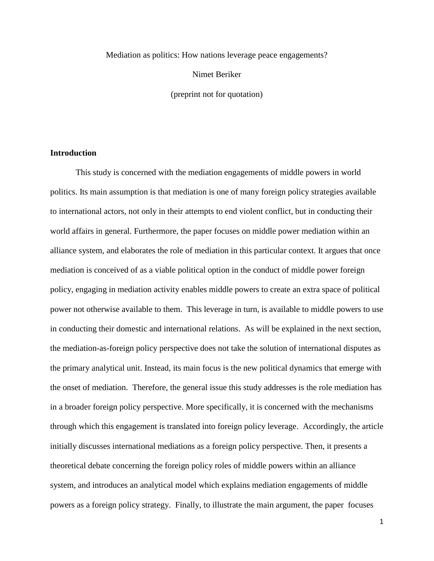Mediation as politics: How nations leverage peace engagements?

Nimet Beriker

(preprint not for quotation)

# **Introduction**

This study is concerned with the mediation engagements of middle powers in world politics. Its main assumption is that mediation is one of many foreign policy strategies available to international actors, not only in their attempts to end violent conflict, but in conducting their world affairs in general. Furthermore, the paper focuses on middle power mediation within an alliance system, and elaborates the role of mediation in this particular context. It argues that once mediation is conceived of as a viable political option in the conduct of middle power foreign policy, engaging in mediation activity enables middle powers to create an extra space of political power not otherwise available to them. This leverage in turn, is available to middle powers to use in conducting their domestic and international relations. As will be explained in the next section, the mediation-as-foreign policy perspective does not take the solution of international disputes as the primary analytical unit. Instead, its main focus is the new political dynamics that emerge with the onset of mediation. Therefore, the general issue this study addresses is the role mediation has in a broader foreign policy perspective. More specifically, it is concerned with the mechanisms through which this engagement is translated into foreign policy leverage. Accordingly, the article initially discusses international mediations as a foreign policy perspective. Then, it presents a theoretical debate concerning the foreign policy roles of middle powers within an alliance system, and introduces an analytical model which explains mediation engagements of middle powers as a foreign policy strategy. Finally, to illustrate the main argument, the paper focuses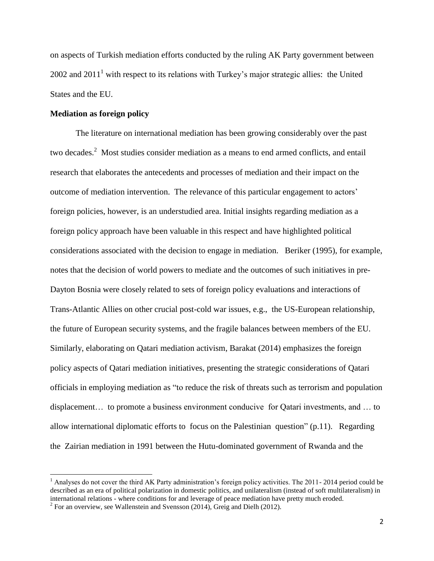on aspects of Turkish mediation efforts conducted by the ruling AK Party government between 2002 and  $2011<sup>1</sup>$  with respect to its relations with Turkey's major strategic allies: the United States and the EU.

# **Mediation as foreign policy**

 $\overline{a}$ 

The literature on international mediation has been growing considerably over the past two decades.<sup>2</sup> Most studies consider mediation as a means to end armed conflicts, and entail research that elaborates the antecedents and processes of mediation and their impact on the outcome of mediation intervention. The relevance of this particular engagement to actors" foreign policies, however, is an understudied area. Initial insights regarding mediation as a foreign policy approach have been valuable in this respect and have highlighted political considerations associated with the decision to engage in mediation. Beriker (1995), for example, notes that the decision of world powers to mediate and the outcomes of such initiatives in pre-Dayton Bosnia were closely related to sets of foreign policy evaluations and interactions of Trans-Atlantic Allies on other crucial post-cold war issues, e.g., the US-European relationship, the future of European security systems, and the fragile balances between members of the EU. Similarly, elaborating on Qatari mediation activism, Barakat (2014) emphasizes the foreign policy aspects of Qatari mediation initiatives, presenting the strategic considerations of Qatari officials in employing mediation as "to reduce the risk of threats such as terrorism and population displacement… to promote a business environment conducive for Qatari investments, and … to allow international diplomatic efforts to focus on the Palestinian question" (p.11). Regarding the Zairian mediation in 1991 between the Hutu-dominated government of Rwanda and the

<sup>&</sup>lt;sup>1</sup> Analyses do not cover the third AK Party administration's foreign policy activities. The 2011- 2014 period could be described as an era of political polarization in domestic politics, and unilateralism (instead of soft multilateralism) in international relations - where conditions for and leverage of peace mediation have pretty much eroded.

<sup>&</sup>lt;sup>2</sup> For an overview, see Wallenstein and Svensson (2014), Greig and Dielh (2012).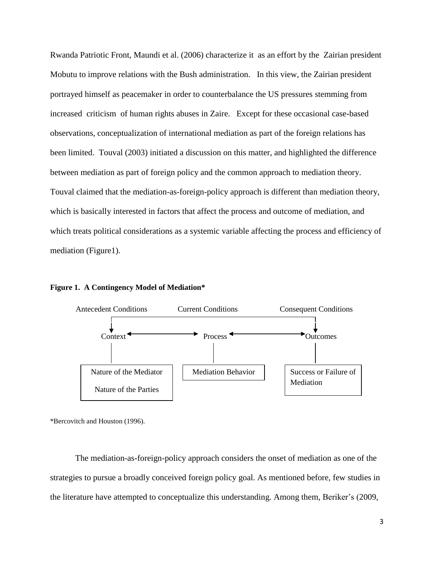Rwanda Patriotic Front, Maundi et al. (2006) characterize it as an effort by the Zairian president Mobutu to improve relations with the Bush administration. In this view, the Zairian president portrayed himself as peacemaker in order to counterbalance the US pressures stemming from increased criticism of human rights abuses in Zaire. Except for these occasional case-based observations, conceptualization of international mediation as part of the foreign relations has been limited. Touval (2003) initiated a discussion on this matter, and highlighted the difference between mediation as part of foreign policy and the common approach to mediation theory. Touval claimed that the mediation-as-foreign-policy approach is different than mediation theory, which is basically interested in factors that affect the process and outcome of mediation, and which treats political considerations as a systemic variable affecting the process and efficiency of mediation (Figure1).



Nature of the Mediator  $\parallel$  Mediation Behavior

**Figure 1. A Contingency Model of Mediation\***

Nature of the Parties

\*Bercovitch and Houston (1996).

The mediation-as-foreign-policy approach considers the onset of mediation as one of the strategies to pursue a broadly conceived foreign policy goal. As mentioned before, few studies in the literature have attempted to conceptualize this understanding. Among them, Beriker's (2009,

Success or Failure of

Mediation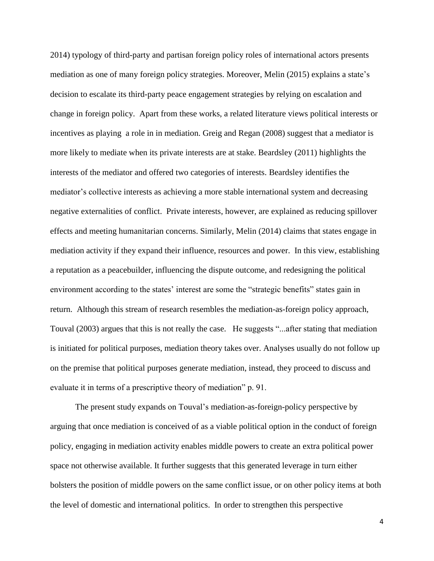2014) typology of third-party and partisan foreign policy roles of international actors presents mediation as one of many foreign policy strategies. Moreover, Melin (2015) explains a state"s decision to escalate its third-party peace engagement strategies by relying on escalation and change in foreign policy. Apart from these works, a related literature views political interests or incentives as playing a role in in mediation. Greig and Regan (2008) suggest that a mediator is more likely to mediate when its private interests are at stake. Beardsley (2011) highlights the interests of the mediator and offered two categories of interests. Beardsley identifies the mediator's collective interests as achieving a more stable international system and decreasing negative externalities of conflict. Private interests, however, are explained as reducing spillover effects and meeting humanitarian concerns. Similarly, Melin (2014) claims that states engage in mediation activity if they expand their influence, resources and power. In this view, establishing a reputation as a peacebuilder, influencing the dispute outcome, and redesigning the political environment according to the states' interest are some the "strategic benefits" states gain in return. Although this stream of research resembles the mediation-as-foreign policy approach, Touval (2003) argues that this is not really the case. He suggests "...after stating that mediation is initiated for political purposes, mediation theory takes over. Analyses usually do not follow up on the premise that political purposes generate mediation, instead, they proceed to discuss and evaluate it in terms of a prescriptive theory of mediation" p. 91.

The present study expands on Touval"s mediation-as-foreign-policy perspective by arguing that once mediation is conceived of as a viable political option in the conduct of foreign policy, engaging in mediation activity enables middle powers to create an extra political power space not otherwise available. It further suggests that this generated leverage in turn either bolsters the position of middle powers on the same conflict issue, or on other policy items at both the level of domestic and international politics. In order to strengthen this perspective

4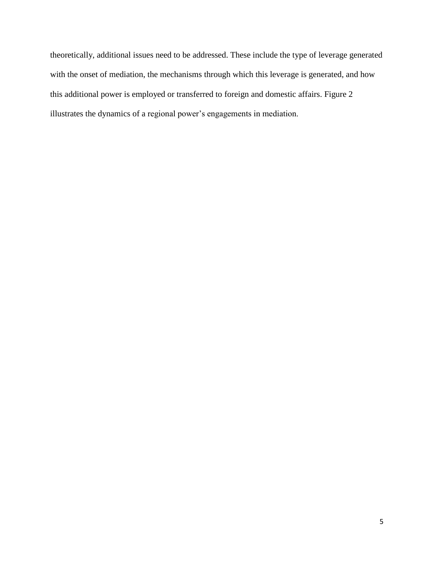theoretically, additional issues need to be addressed. These include the type of leverage generated with the onset of mediation, the mechanisms through which this leverage is generated, and how this additional power is employed or transferred to foreign and domestic affairs. Figure 2 illustrates the dynamics of a regional power's engagements in mediation.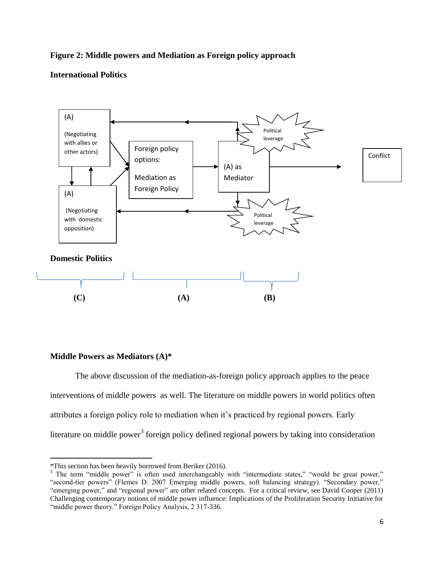# **Figure 2: Middle powers and Mediation as Foreign policy approach**

# **International Politics**



# **Middle Powers as Mediators (A)\***

 $\overline{a}$ 

The above discussion of the mediation-as-foreign policy approach applies to the peace interventions of middle powers as well. The literature on middle powers in world politics often attributes a foreign policy role to mediation when it"s practiced by regional powers. Early literature on middle power<sup>3</sup> foreign policy defined regional powers by taking into consideration

<sup>\*</sup>This section has been heavily borrowed from Beriker (2016).

<sup>&</sup>lt;sup>3</sup> The term "middle power" is often used interchangeably with "intermediate states," "would be great power," "second-tier powers" (Flemes D. 2007 Emerging middle powers, soft balancing strategy). "Secondary power," "emerging power," and "regional power" are other related concepts. For a critical review, see David Cooper (2011) Challenging contemporary notions of middle power influence: Implications of the Proliferation Security Initiative for "middle power theory." Foreign Policy Analysis, 2 317-336.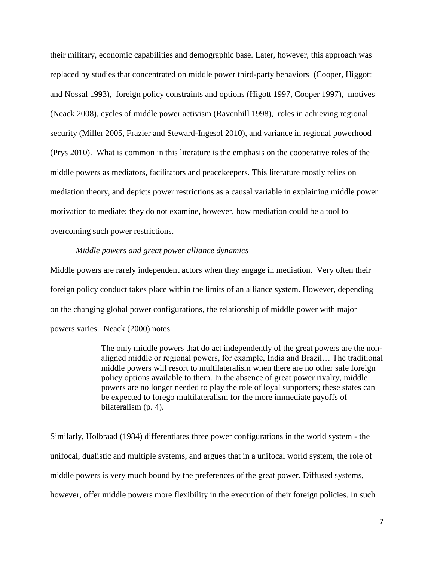their military, economic capabilities and demographic base. Later, however, this approach was replaced by studies that concentrated on middle power third-party behaviors (Cooper, Higgott and Nossal 1993), foreign policy constraints and options (Higott 1997, Cooper 1997), motives (Neack 2008), cycles of middle power activism (Ravenhill 1998), roles in achieving regional security (Miller 2005, Frazier and Steward-Ingesol 2010), and variance in regional powerhood (Prys 2010). What is common in this literature is the emphasis on the cooperative roles of the middle powers as mediators, facilitators and peacekeepers. This literature mostly relies on mediation theory, and depicts power restrictions as a causal variable in explaining middle power motivation to mediate; they do not examine, however, how mediation could be a tool to overcoming such power restrictions.

# *Middle powers and great power alliance dynamics*

Middle powers are rarely independent actors when they engage in mediation. Very often their foreign policy conduct takes place within the limits of an alliance system. However, depending on the changing global power configurations, the relationship of middle power with major powers varies. Neack (2000) notes

> The only middle powers that do act independently of the great powers are the nonaligned middle or regional powers, for example, India and Brazil… The traditional middle powers will resort to multilateralism when there are no other safe foreign policy options available to them. In the absence of great power rivalry, middle powers are no longer needed to play the role of loyal supporters; these states can be expected to forego multilateralism for the more immediate payoffs of bilateralism (p. 4).

Similarly, Holbraad (1984) differentiates three power configurations in the world system - the unifocal, dualistic and multiple systems, and argues that in a unifocal world system, the role of middle powers is very much bound by the preferences of the great power. Diffused systems, however, offer middle powers more flexibility in the execution of their foreign policies. In such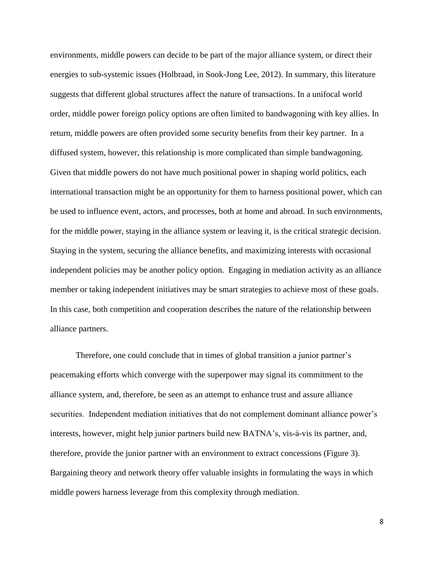environments, middle powers can decide to be part of the major alliance system, or direct their energies to sub-systemic issues (Holbraad, in Sook-Jong Lee, 2012). In summary, this literature suggests that different global structures affect the nature of transactions. In a unifocal world order, middle power foreign policy options are often limited to bandwagoning with key allies. In return, middle powers are often provided some security benefits from their key partner. In a diffused system, however, this relationship is more complicated than simple bandwagoning. Given that middle powers do not have much positional power in shaping world politics, each international transaction might be an opportunity for them to harness positional power, which can be used to influence event, actors, and processes, both at home and abroad. In such environments, for the middle power, staying in the alliance system or leaving it, is the critical strategic decision. Staying in the system, securing the alliance benefits, and maximizing interests with occasional independent policies may be another policy option. Engaging in mediation activity as an alliance member or taking independent initiatives may be smart strategies to achieve most of these goals. In this case, both competition and cooperation describes the nature of the relationship between alliance partners.

Therefore, one could conclude that in times of global transition a junior partner's peacemaking efforts which converge with the superpower may signal its commitment to the alliance system, and, therefore, be seen as an attempt to enhance trust and assure alliance securities. Independent mediation initiatives that do not complement dominant alliance power's interests, however, might help junior partners build new BATNA"s, vis-à-vis its partner, and, therefore, provide the junior partner with an environment to extract concessions (Figure 3). Bargaining theory and network theory offer valuable insights in formulating the ways in which middle powers harness leverage from this complexity through mediation.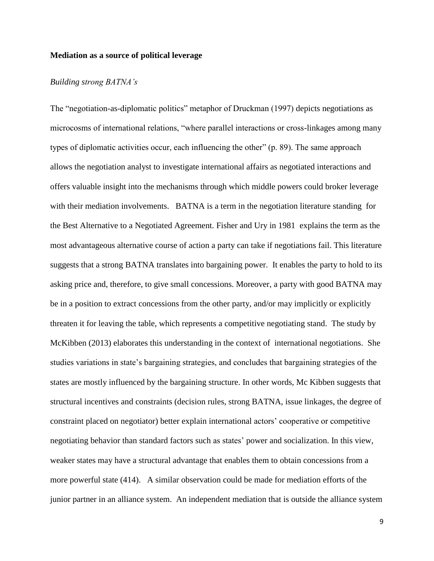## **Mediation as a source of political leverage**

# *Building strong BATNA's*

The "negotiation-as-diplomatic politics" metaphor of Druckman (1997) depicts negotiations as microcosms of international relations, "where parallel interactions or cross-linkages among many types of diplomatic activities occur, each influencing the other" (p. 89). The same approach allows the negotiation analyst to investigate international affairs as negotiated interactions and offers valuable insight into the mechanisms through which middle powers could broker leverage with their mediation involvements. BATNA is a term in the negotiation literature standing for the Best Alternative to a Negotiated Agreement. Fisher and Ury in 1981 explains the term as the most advantageous alternative course of action a party can take if negotiations fail. This literature suggests that a strong BATNA translates into bargaining power. It enables the party to hold to its asking price and, therefore, to give small concessions. Moreover, a party with good BATNA may be in a position to extract concessions from the other party, and/or may implicitly or explicitly threaten it for leaving the table, which represents a competitive negotiating stand. The study by McKibben (2013) elaborates this understanding in the context of international negotiations. She studies variations in state's bargaining strategies, and concludes that bargaining strategies of the states are mostly influenced by the bargaining structure. In other words, Mc Kibben suggests that structural incentives and constraints (decision rules, strong BATNA, issue linkages, the degree of constraint placed on negotiator) better explain international actors" cooperative or competitive negotiating behavior than standard factors such as states" power and socialization. In this view, weaker states may have a structural advantage that enables them to obtain concessions from a more powerful state (414). A similar observation could be made for mediation efforts of the junior partner in an alliance system. An independent mediation that is outside the alliance system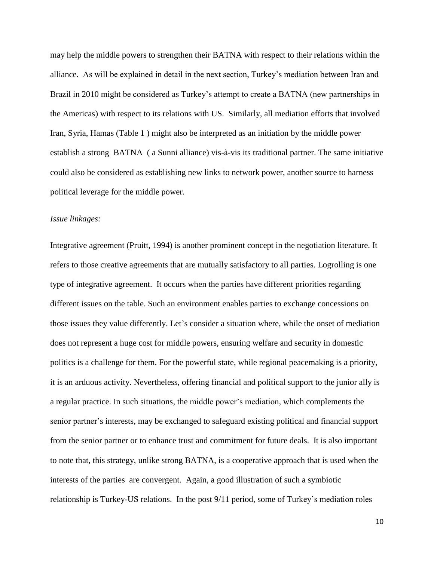may help the middle powers to strengthen their BATNA with respect to their relations within the alliance. As will be explained in detail in the next section, Turkey"s mediation between Iran and Brazil in 2010 might be considered as Turkey's attempt to create a BATNA (new partnerships in the Americas) with respect to its relations with US. Similarly, all mediation efforts that involved Iran, Syria, Hamas (Table 1 ) might also be interpreted as an initiation by the middle power establish a strong BATNA ( a Sunni alliance) vis-à-vis its traditional partner. The same initiative could also be considered as establishing new links to network power, another source to harness political leverage for the middle power.

# *Issue linkages:*

Integrative agreement (Pruitt, 1994) is another prominent concept in the negotiation literature. It refers to those creative agreements that are mutually satisfactory to all parties. Logrolling is one type of integrative agreement. It occurs when the parties have different priorities regarding different issues on the table. Such an environment enables parties to exchange concessions on those issues they value differently. Let"s consider a situation where, while the onset of mediation does not represent a huge cost for middle powers, ensuring welfare and security in domestic politics is a challenge for them. For the powerful state, while regional peacemaking is a priority, it is an arduous activity. Nevertheless, offering financial and political support to the junior ally is a regular practice. In such situations, the middle power"s mediation, which complements the senior partner's interests, may be exchanged to safeguard existing political and financial support from the senior partner or to enhance trust and commitment for future deals. It is also important to note that, this strategy, unlike strong BATNA, is a cooperative approach that is used when the interests of the parties are convergent. Again, a good illustration of such a symbiotic relationship is Turkey-US relations. In the post 9/11 period, some of Turkey"s mediation roles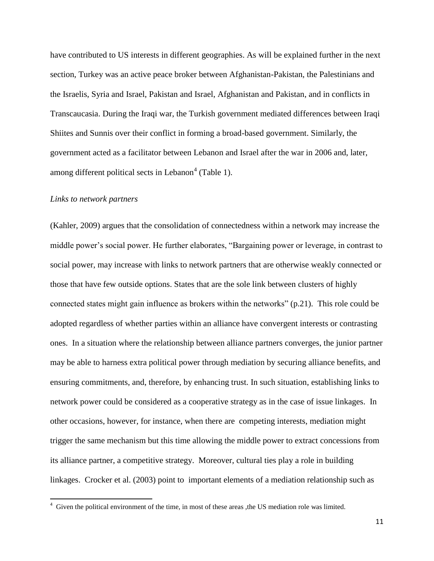have contributed to US interests in different geographies. As will be explained further in the next section, Turkey was an active peace broker between Afghanistan-Pakistan, the Palestinians and the Israelis, Syria and Israel, Pakistan and Israel, Afghanistan and Pakistan, and in conflicts in Transcaucasia. During the Iraqi war, the Turkish government mediated differences between Iraqi Shiites and Sunnis over their conflict in forming a broad-based government. Similarly, the government acted as a facilitator between Lebanon and Israel after the war in 2006 and, later, among different political sects in Lebanon<sup>4</sup> (Table 1).

#### *Links to network partners*

(Kahler, 2009) argues that the consolidation of connectedness within a network may increase the middle power's social power. He further elaborates, "Bargaining power or leverage, in contrast to social power, may increase with links to network partners that are otherwise weakly connected or those that have few outside options. States that are the sole link between clusters of highly connected states might gain influence as brokers within the networks" (p.21). This role could be adopted regardless of whether parties within an alliance have convergent interests or contrasting ones. In a situation where the relationship between alliance partners converges, the junior partner may be able to harness extra political power through mediation by securing alliance benefits, and ensuring commitments, and, therefore, by enhancing trust. In such situation, establishing links to network power could be considered as a cooperative strategy as in the case of issue linkages. In other occasions, however, for instance, when there are competing interests, mediation might trigger the same mechanism but this time allowing the middle power to extract concessions from its alliance partner, a competitive strategy. Moreover, cultural ties play a role in building linkages. Crocker et al. (2003) point to important elements of a mediation relationship such as

 4 Given the political environment of the time, in most of these areas ,the US mediation role was limited.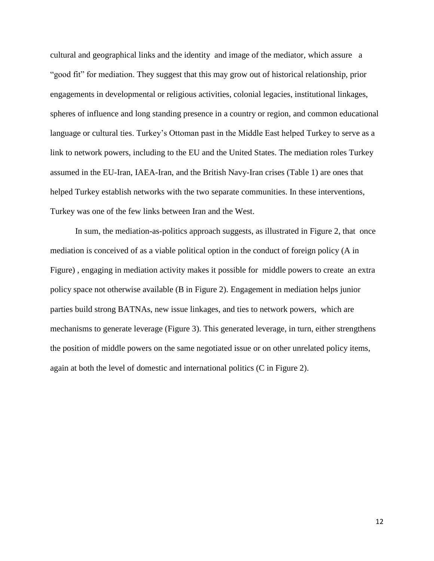cultural and geographical links and the identity and image of the mediator, which assure a "good fit" for mediation. They suggest that this may grow out of historical relationship, prior engagements in developmental or religious activities, colonial legacies, institutional linkages, spheres of influence and long standing presence in a country or region, and common educational language or cultural ties. Turkey"s Ottoman past in the Middle East helped Turkey to serve as a link to network powers, including to the EU and the United States. The mediation roles Turkey assumed in the EU-Iran, IAEA-Iran, and the British Navy-Iran crises (Table 1) are ones that helped Turkey establish networks with the two separate communities. In these interventions, Turkey was one of the few links between Iran and the West.

In sum, the mediation-as-politics approach suggests, as illustrated in Figure 2, that once mediation is conceived of as a viable political option in the conduct of foreign policy (A in Figure) , engaging in mediation activity makes it possible for middle powers to create an extra policy space not otherwise available (B in Figure 2). Engagement in mediation helps junior parties build strong BATNAs, new issue linkages, and ties to network powers, which are mechanisms to generate leverage (Figure 3). This generated leverage, in turn, either strengthens the position of middle powers on the same negotiated issue or on other unrelated policy items, again at both the level of domestic and international politics (C in Figure 2).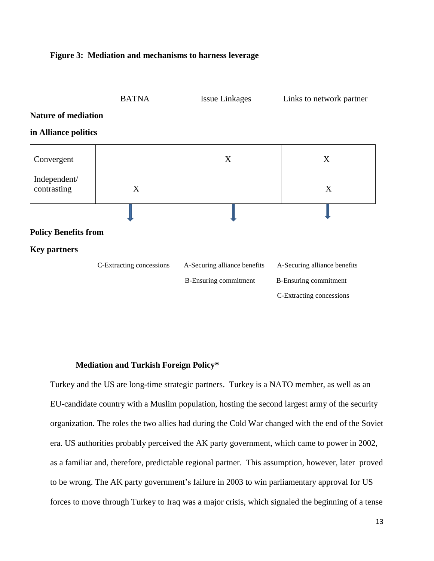# **Figure 3: Mediation and mechanisms to harness leverage**



#### **Mediation and Turkish Foreign Policy\***

Turkey and the US are long-time strategic partners. Turkey is a NATO member, as well as an EU-candidate country with a Muslim population, hosting the second largest army of the security organization. The roles the two allies had during the Cold War changed with the end of the Soviet era. US authorities probably perceived the AK party government, which came to power in 2002, as a familiar and, therefore, predictable regional partner. This assumption, however, later proved to be wrong. The AK party government"s failure in 2003 to win parliamentary approval for US forces to move through Turkey to Iraq was a major crisis, which signaled the beginning of a tense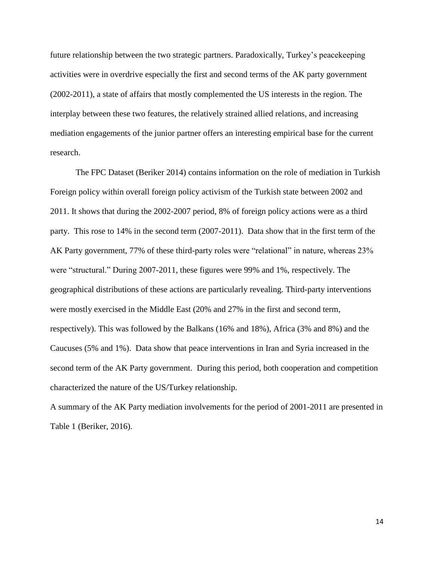future relationship between the two strategic partners. Paradoxically, Turkey"s peacekeeping activities were in overdrive especially the first and second terms of the AK party government (2002-2011), a state of affairs that mostly complemented the US interests in the region. The interplay between these two features, the relatively strained allied relations, and increasing mediation engagements of the junior partner offers an interesting empirical base for the current research.

The FPC Dataset (Beriker 2014) contains information on the role of mediation in Turkish Foreign policy within overall foreign policy activism of the Turkish state between 2002 and 2011. It shows that during the 2002-2007 period, 8% of foreign policy actions were as a third party. This rose to 14% in the second term (2007-2011). Data show that in the first term of the AK Party government, 77% of these third-party roles were "relational" in nature, whereas 23% were "structural." During 2007-2011, these figures were 99% and 1%, respectively. The geographical distributions of these actions are particularly revealing. Third-party interventions were mostly exercised in the Middle East (20% and 27% in the first and second term, respectively). This was followed by the Balkans (16% and 18%), Africa (3% and 8%) and the Caucuses (5% and 1%). Data show that peace interventions in Iran and Syria increased in the second term of the AK Party government. During this period, both cooperation and competition characterized the nature of the US/Turkey relationship.

A summary of the AK Party mediation involvements for the period of 2001-2011 are presented in Table 1 (Beriker, 2016).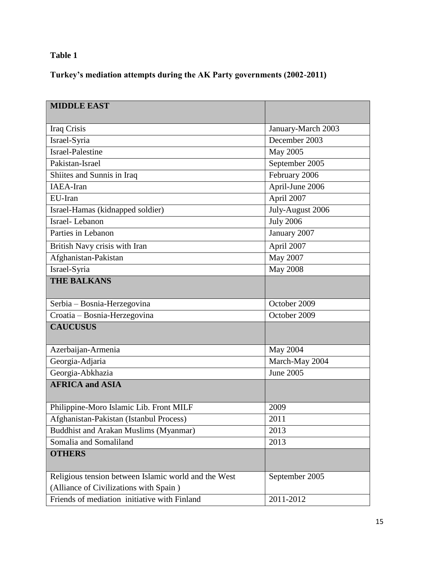# **Table 1**

**Turkey's mediation attempts during the AK Party governments (2002-2011)**

| <b>MIDDLE EAST</b>                                   |                    |
|------------------------------------------------------|--------------------|
|                                                      |                    |
| Iraq Crisis                                          | January-March 2003 |
| Israel-Syria                                         | December 2003      |
| <b>Israel-Palestine</b>                              | May 2005           |
| Pakistan-Israel                                      | September 2005     |
| Shiites and Sunnis in Iraq                           | February 2006      |
| <b>IAEA-Iran</b>                                     | April-June 2006    |
| EU-Iran                                              | April 2007         |
| Israel-Hamas (kidnapped soldier)                     | July-August 2006   |
| Israel-Lebanon                                       | <b>July 2006</b>   |
| Parties in Lebanon                                   | January 2007       |
| British Navy crisis with Iran                        | April 2007         |
| Afghanistan-Pakistan                                 | May 2007           |
| Israel-Syria                                         | <b>May 2008</b>    |
| <b>THE BALKANS</b>                                   |                    |
| Serbia - Bosnia-Herzegovina                          | October 2009       |
| Croatia - Bosnia-Herzegovina                         | October 2009       |
| <b>CAUCUSUS</b>                                      |                    |
| Azerbaijan-Armenia                                   | May 2004           |
| Georgia-Adjaria                                      | March-May 2004     |
| Georgia-Abkhazia                                     | <b>June 2005</b>   |
| <b>AFRICA and ASIA</b>                               |                    |
| Philippine-Moro Islamic Lib. Front MILF              | 2009               |
| Afghanistan-Pakistan (Istanbul Process)              | 2011               |
| <b>Buddhist and Arakan Muslims (Myanmar)</b>         | 2013               |
| Somalia and Somaliland                               | 2013               |
| <b>OTHERS</b>                                        |                    |
| Religious tension between Islamic world and the West | September 2005     |
| (Alliance of Civilizations with Spain)               |                    |
| Friends of mediation initiative with Finland         | 2011-2012          |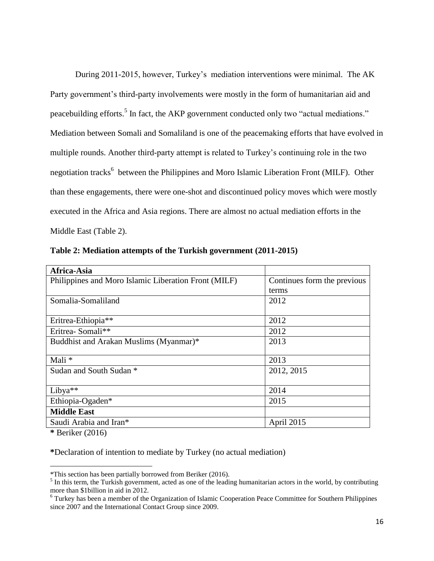During 2011-2015, however, Turkey's mediation interventions were minimal. The AK Party government's third-party involvements were mostly in the form of humanitarian aid and peacebuilding efforts.<sup>5</sup> In fact, the AKP government conducted only two "actual mediations." Mediation between Somali and Somaliland is one of the peacemaking efforts that have evolved in multiple rounds. Another third-party attempt is related to Turkey"s continuing role in the two negotiation tracks<sup>6</sup> between the Philippines and Moro Islamic Liberation Front (MILF). Other than these engagements, there were one-shot and discontinued policy moves which were mostly executed in the Africa and Asia regions. There are almost no actual mediation efforts in the Middle East (Table 2).

| Africa-Asia                                          |                             |
|------------------------------------------------------|-----------------------------|
| Philippines and Moro Islamic Liberation Front (MILF) | Continues form the previous |
|                                                      | terms                       |
| Somalia-Somaliland                                   | 2012                        |
|                                                      |                             |
| Eritrea-Ethiopia**                                   | 2012                        |
| Eritrea-Somali**                                     | 2012                        |
| Buddhist and Arakan Muslims (Myanmar)*               | 2013                        |
|                                                      |                             |
| Mali *                                               | 2013                        |
| Sudan and South Sudan *                              | 2012, 2015                  |
|                                                      |                             |
| Libya $**$                                           | 2014                        |
| Ethiopia-Ogaden*                                     | 2015                        |
| <b>Middle East</b>                                   |                             |
| Saudi Arabia and Iran*                               | April 2015                  |

**Table 2: Mediation attempts of the Turkish government (2011-2015)**

**\*** Beriker (2016)

 $\overline{a}$ 

**\***Declaration of intention to mediate by Turkey (no actual mediation)

<sup>\*</sup>This section has been partially borrowed from Beriker (2016).

 $<sup>5</sup>$  In this term, the Turkish government, acted as one of the leading humanitarian actors in the world, by contributing</sup> more than \$1billion in aid in 2012.

<sup>&</sup>lt;sup>6</sup> Turkey has been a member of the Organization of Islamic Cooperation Peace Committee for Southern Philippines since 2007 and the International Contact Group since 2009.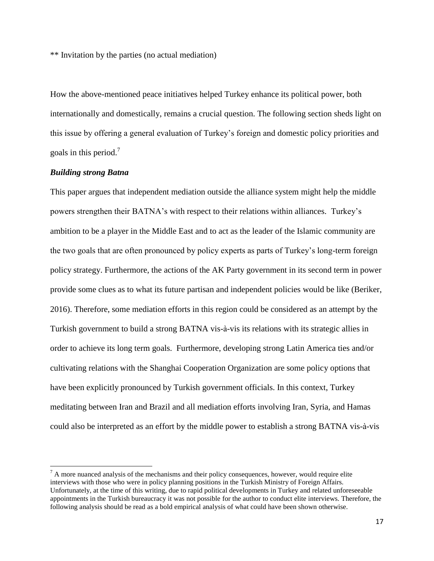\*\* Invitation by the parties (no actual mediation)

How the above-mentioned peace initiatives helped Turkey enhance its political power, both internationally and domestically, remains a crucial question. The following section sheds light on this issue by offering a general evaluation of Turkey"s foreign and domestic policy priorities and goals in this period.<sup>7</sup>

## *Building strong Batna*

 $\overline{a}$ 

This paper argues that independent mediation outside the alliance system might help the middle powers strengthen their BATNA"s with respect to their relations within alliances. Turkey"s ambition to be a player in the Middle East and to act as the leader of the Islamic community are the two goals that are often pronounced by policy experts as parts of Turkey"s long-term foreign policy strategy. Furthermore, the actions of the AK Party government in its second term in power provide some clues as to what its future partisan and independent policies would be like (Beriker, 2016). Therefore, some mediation efforts in this region could be considered as an attempt by the Turkish government to build a strong BATNA vis-à-vis its relations with its strategic allies in order to achieve its long term goals. Furthermore, developing strong Latin America ties and/or cultivating relations with the Shanghai Cooperation Organization are some policy options that have been explicitly pronounced by Turkish government officials. In this context, Turkey meditating between Iran and Brazil and all mediation efforts involving Iran, Syria, and Hamas could also be interpreted as an effort by the middle power to establish a strong BATNA vis-à-vis

 $<sup>7</sup>$  A more nuanced analysis of the mechanisms and their policy consequences, however, would require elite</sup> interviews with those who were in policy planning positions in the Turkish Ministry of Foreign Affairs. Unfortunately, at the time of this writing, due to rapid political developments in Turkey and related unforeseeable appointments in the Turkish bureaucracy it was not possible for the author to conduct elite interviews. Therefore, the following analysis should be read as a bold empirical analysis of what could have been shown otherwise.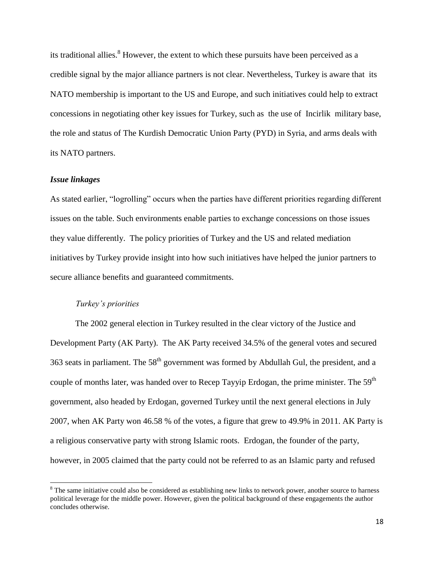its traditional allies.<sup>8</sup> However, the extent to which these pursuits have been perceived as a credible signal by the major alliance partners is not clear. Nevertheless, Turkey is aware that its NATO membership is important to the US and Europe, and such initiatives could help to extract concessions in negotiating other key issues for Turkey, such as the use of Incirlik military base, the role and status of The Kurdish Democratic Union Party (PYD) in Syria, and arms deals with its NATO partners.

# *Issue linkages*

 $\overline{a}$ 

As stated earlier, "logrolling" occurs when the parties have different priorities regarding different issues on the table. Such environments enable parties to exchange concessions on those issues they value differently. The policy priorities of Turkey and the US and related mediation initiatives by Turkey provide insight into how such initiatives have helped the junior partners to secure alliance benefits and guaranteed commitments.

# *Turkey's priorities*

The 2002 general election in Turkey resulted in the clear victory of the Justice and Development Party (AK Party). The AK Party received 34.5% of the general votes and secured 363 seats in parliament. The  $58<sup>th</sup>$  government was formed by Abdullah Gul, the president, and a couple of months later, was handed over to Recep Tayyip Erdogan, the prime minister. The 59<sup>th</sup> government, also headed by Erdogan, governed Turkey until the next general elections in July 2007, when AK Party won 46.58 % of the votes, a figure that grew to 49.9% in 2011. AK Party is a religious conservative party with strong Islamic roots. Erdogan, the founder of the party, however, in 2005 claimed that the party could not be referred to as an Islamic party and refused

<sup>&</sup>lt;sup>8</sup> The same initiative could also be considered as establishing new links to network power, another source to harness political leverage for the middle power. However, given the political background of these engagements the author concludes otherwise.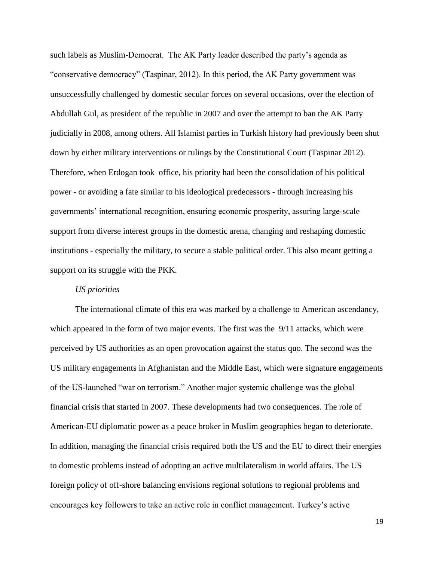such labels as Muslim-Democrat. The AK Party leader described the party"s agenda as "conservative democracy" (Taspinar, 2012). In this period, the AK Party government was unsuccessfully challenged by domestic secular forces on several occasions, over the election of Abdullah Gul, as president of the republic in 2007 and over the attempt to ban the AK Party judicially in 2008, among others. All Islamist parties in Turkish history had previously been shut down by either military interventions or rulings by the Constitutional Court (Taspinar 2012). Therefore, when Erdogan took office, his priority had been the consolidation of his political power - or avoiding a fate similar to his ideological predecessors - through increasing his governments" international recognition, ensuring economic prosperity, assuring large-scale support from diverse interest groups in the domestic arena, changing and reshaping domestic institutions - especially the military, to secure a stable political order. This also meant getting a support on its struggle with the PKK.

# *US priorities*

The international climate of this era was marked by a challenge to American ascendancy, which appeared in the form of two major events. The first was the 9/11 attacks, which were perceived by US authorities as an open provocation against the status quo. The second was the US military engagements in Afghanistan and the Middle East, which were signature engagements of the US-launched "war on terrorism." Another major systemic challenge was the global financial crisis that started in 2007. These developments had two consequences. The role of American-EU diplomatic power as a peace broker in Muslim geographies began to deteriorate. In addition, managing the financial crisis required both the US and the EU to direct their energies to domestic problems instead of adopting an active multilateralism in world affairs. The US foreign policy of off-shore balancing envisions regional solutions to regional problems and encourages key followers to take an active role in conflict management. Turkey"s active

19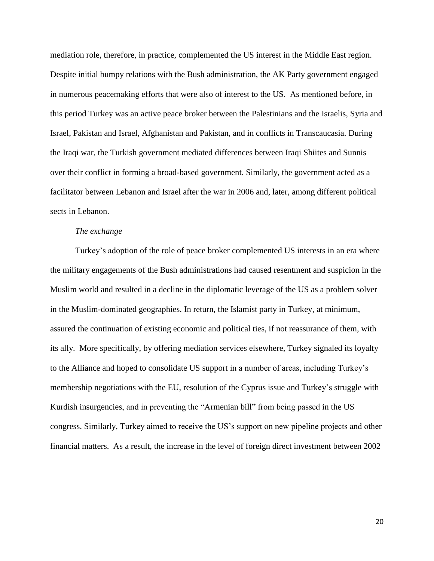mediation role, therefore, in practice, complemented the US interest in the Middle East region. Despite initial bumpy relations with the Bush administration, the AK Party government engaged in numerous peacemaking efforts that were also of interest to the US. As mentioned before, in this period Turkey was an active peace broker between the Palestinians and the Israelis, Syria and Israel, Pakistan and Israel, Afghanistan and Pakistan, and in conflicts in Transcaucasia. During the Iraqi war, the Turkish government mediated differences between Iraqi Shiites and Sunnis over their conflict in forming a broad-based government. Similarly, the government acted as a facilitator between Lebanon and Israel after the war in 2006 and, later, among different political sects in Lebanon.

# *The exchange*

Turkey"s adoption of the role of peace broker complemented US interests in an era where the military engagements of the Bush administrations had caused resentment and suspicion in the Muslim world and resulted in a decline in the diplomatic leverage of the US as a problem solver in the Muslim-dominated geographies. In return, the Islamist party in Turkey, at minimum, assured the continuation of existing economic and political ties, if not reassurance of them, with its ally. More specifically, by offering mediation services elsewhere, Turkey signaled its loyalty to the Alliance and hoped to consolidate US support in a number of areas, including Turkey"s membership negotiations with the EU, resolution of the Cyprus issue and Turkey"s struggle with Kurdish insurgencies, and in preventing the "Armenian bill" from being passed in the US congress. Similarly, Turkey aimed to receive the US"s support on new pipeline projects and other financial matters. As a result, the increase in the level of foreign direct investment between 2002

20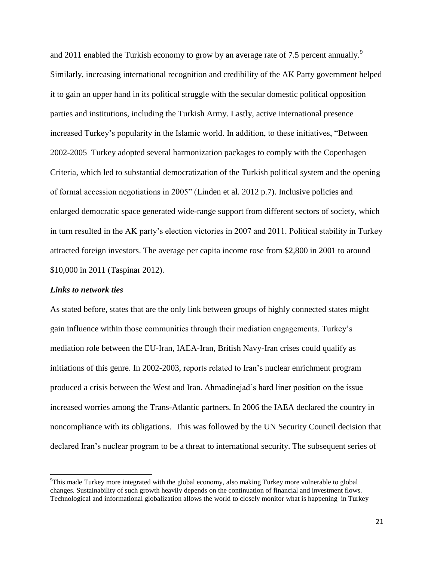and 2011 enabled the Turkish economy to grow by an average rate of 7.5 percent annually.<sup>9</sup> Similarly, increasing international recognition and credibility of the AK Party government helped it to gain an upper hand in its political struggle with the secular domestic political opposition parties and institutions, including the Turkish Army. Lastly, active international presence increased Turkey"s popularity in the Islamic world. In addition, to these initiatives, "Between 2002-2005 Turkey adopted several harmonization packages to comply with the Copenhagen Criteria, which led to substantial democratization of the Turkish political system and the opening of formal accession negotiations in 2005" (Linden et al. 2012 p.7). Inclusive policies and enlarged democratic space generated wide-range support from different sectors of society, which in turn resulted in the AK party's election victories in 2007 and 2011. Political stability in Turkey attracted foreign investors. The average per capita income rose from \$2,800 in 2001 to around \$10,000 in 2011 (Taspinar 2012).

# *Links to network ties*

 $\overline{a}$ 

As stated before, states that are the only link between groups of highly connected states might gain influence within those communities through their mediation engagements. Turkey"s mediation role between the EU-Iran, IAEA-Iran, British Navy-Iran crises could qualify as initiations of this genre. In 2002-2003, reports related to Iran"s nuclear enrichment program produced a crisis between the West and Iran. Ahmadinejad"s hard liner position on the issue increased worries among the Trans-Atlantic partners. In 2006 the IAEA declared the country in noncompliance with its obligations. This was followed by the UN Security Council decision that declared Iran"s nuclear program to be a threat to international security. The subsequent series of

 $\rm{PThis}$  made Turkey more integrated with the global economy, also making Turkey more vulnerable to global changes. Sustainability of such growth heavily depends on the continuation of financial and investment flows. Technological and informational globalization allows the world to closely monitor what is happening in Turkey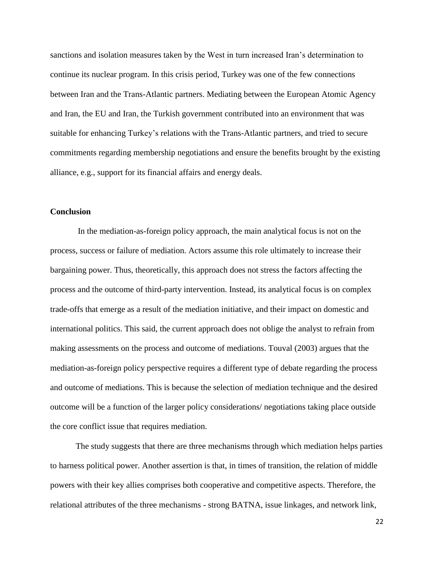sanctions and isolation measures taken by the West in turn increased Iran"s determination to continue its nuclear program. In this crisis period, Turkey was one of the few connections between Iran and the Trans-Atlantic partners. Mediating between the European Atomic Agency and Iran, the EU and Iran, the Turkish government contributed into an environment that was suitable for enhancing Turkey's relations with the Trans-Atlantic partners, and tried to secure commitments regarding membership negotiations and ensure the benefits brought by the existing alliance, e.g., support for its financial affairs and energy deals.

# **Conclusion**

In the mediation-as-foreign policy approach, the main analytical focus is not on the process, success or failure of mediation. Actors assume this role ultimately to increase their bargaining power. Thus, theoretically, this approach does not stress the factors affecting the process and the outcome of third-party intervention. Instead, its analytical focus is on complex trade-offs that emerge as a result of the mediation initiative, and their impact on domestic and international politics. This said, the current approach does not oblige the analyst to refrain from making assessments on the process and outcome of mediations. Touval (2003) argues that the mediation-as-foreign policy perspective requires a different type of debate regarding the process and outcome of mediations. This is because the selection of mediation technique and the desired outcome will be a function of the larger policy considerations/ negotiations taking place outside the core conflict issue that requires mediation.

The study suggests that there are three mechanisms through which mediation helps parties to harness political power. Another assertion is that, in times of transition, the relation of middle powers with their key allies comprises both cooperative and competitive aspects. Therefore, the relational attributes of the three mechanisms - strong BATNA, issue linkages, and network link,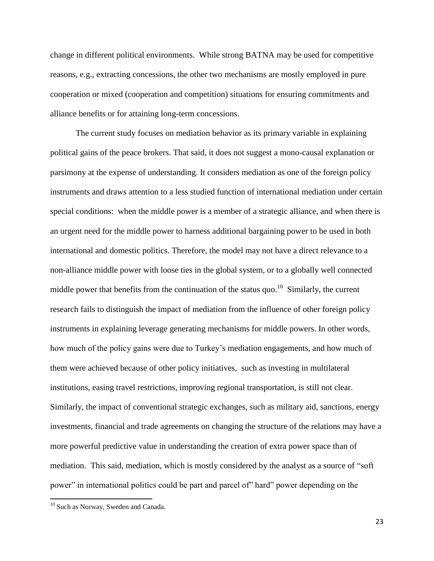change in different political environments. While strong BATNA may be used for competitive reasons, e.g., extracting concessions, the other two mechanisms are mostly employed in pure cooperation or mixed (cooperation and competition) situations for ensuring commitments and alliance benefits or for attaining long-term concessions.

The current study focuses on mediation behavior as its primary variable in explaining political gains of the peace brokers. That said, it does not suggest a mono-causal explanation or parsimony at the expense of understanding. It considers mediation as one of the foreign policy instruments and draws attention to a less studied function of international mediation under certain special conditions: when the middle power is a member of a strategic alliance, and when there is an urgent need for the middle power to harness additional bargaining power to be used in both international and domestic politics. Therefore, the model may not have a direct relevance to a non-alliance middle power with loose ties in the global system, or to a globally well connected middle power that benefits from the continuation of the status quo.<sup>10</sup> Similarly, the current research fails to distinguish the impact of mediation from the influence of other foreign policy instruments in explaining leverage generating mechanisms for middle powers. In other words, how much of the policy gains were due to Turkey"s mediation engagements, and how much of them were achieved because of other policy initiatives, such as investing in multilateral institutions, easing travel restrictions, improving regional transportation, is still not clear. Similarly, the impact of conventional strategic exchanges, such as military aid, sanctions, energy investments, financial and trade agreements on changing the structure of the relations may have a more powerful predictive value in understanding the creation of extra power space than of mediation. This said, mediation, which is mostly considered by the analyst as a source of "soft power" in international politics could be part and parcel of" hard" power depending on the

 $\overline{a}$ 

<sup>&</sup>lt;sup>10</sup> Such as Norway, Sweden and Canada.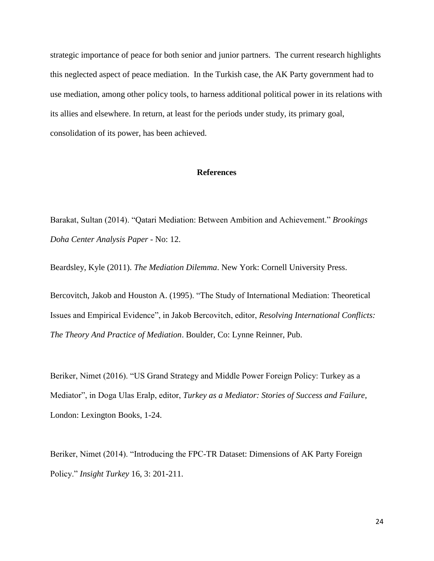strategic importance of peace for both senior and junior partners. The current research highlights this neglected aspect of peace mediation. In the Turkish case, the AK Party government had to use mediation, among other policy tools, to harness additional political power in its relations with its allies and elsewhere. In return, at least for the periods under study, its primary goal, consolidation of its power, has been achieved.

## **References**

Barakat, Sultan (2014). "Qatari Mediation: Between Ambition and Achievement." *Brookings Doha Center Analysis Paper* - No: 12.

Beardsley, Kyle (2011). *The Mediation Dilemma*. New York: Cornell University Press.

Bercovitch, Jakob and Houston A. (1995). "The Study of International Mediation: Theoretical Issues and Empirical Evidence", in Jakob Bercovitch, editor, *Resolving International Conflicts: The Theory And Practice of Mediation*. Boulder, Co: Lynne Reinner, Pub.

Beriker, Nimet (2016). "US Grand Strategy and Middle Power Foreign Policy: Turkey as a Mediator", in Doga Ulas Eralp, editor, *Turkey as a Mediator: Stories of Success and Failure*, London: Lexington Books, 1-24.

Beriker, Nimet (2014). "Introducing the FPC-TR Dataset: Dimensions of AK Party Foreign Policy." *Insight Turkey* 16, 3: 201-211.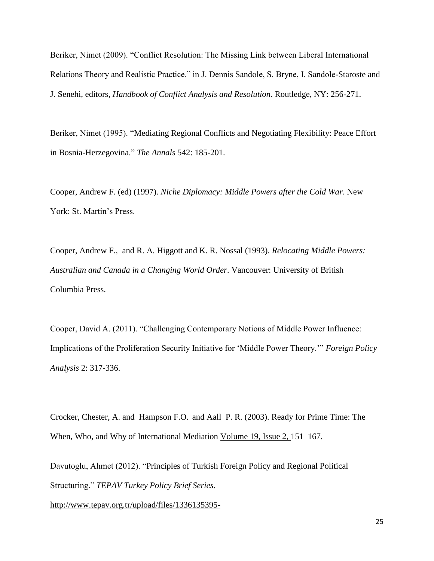Beriker, Nimet (2009). "Conflict Resolution: The Missing Link between Liberal International Relations Theory and Realistic Practice." in J. Dennis Sandole, S. Bryne, I. Sandole-Staroste and J. Senehi, editors, *Handbook of Conflict Analysis and Resolution*. Routledge, NY: 256-271.

Beriker, Nimet (1995). ["Mediating Regional Conflicts and Negotiating Flexibility: Peace Effort](http://myweb.sabanciuniv.edu/beriker/files/2011/11/mediating.pdf)  [in Bosnia-Herzegovina.](http://myweb.sabanciuniv.edu/beriker/files/2011/11/mediating.pdf)" *The Annals* 542: 185-201.

Cooper, Andrew F. (ed) (1997). *Niche Diplomacy: Middle Powers after the Cold War*. New York: St. Martin's Press.

Cooper, Andrew F., and R. A. Higgott and K. R. Nossal (1993). *Relocating Middle Powers: Australian and Canada in a Changing World Order*. Vancouver: University of British Columbia Press.

Cooper, David A. (2011). "Challenging Contemporary Notions of Middle Power Influence: Implications of the Proliferation Security Initiative for "Middle Power Theory."" *Foreign Policy Analysis* 2: 317-336.

Crocker, Chester, A. and Hampson F.O. and Aall P. R. (2003). Ready for Prime Time: The When, Who, and Why of International Mediation [Volume 19, Issue 2, 1](http://onlinelibrary.wiley.com/doi/10.1111/nejo.2003.19.issue-2/issuetoc)51–167.

Davutoglu, Ahmet (2012). "Principles of Turkish Foreign Policy and Regional Political Structuring." *TEPAV Turkey Policy Brief Series*.

[http://www.tepav.org.tr/upload/files/1336135395-](http://www.tepav.org.tr/upload/files/1336135395-4.Principles_of_Turkish_Foreign_Policy_and_Regional_Political_Structuring_by_Ahmet_Davutoglu.pdf)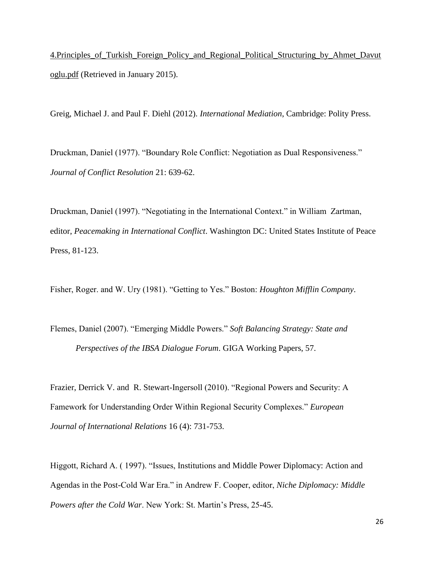[4.Principles\\_of\\_Turkish\\_Foreign\\_Policy\\_and\\_Regional\\_Political\\_Structuring\\_by\\_Ahmet\\_Davut](http://www.tepav.org.tr/upload/files/1336135395-4.Principles_of_Turkish_Foreign_Policy_and_Regional_Political_Structuring_by_Ahmet_Davutoglu.pdf) [oglu.pdf](http://www.tepav.org.tr/upload/files/1336135395-4.Principles_of_Turkish_Foreign_Policy_and_Regional_Political_Structuring_by_Ahmet_Davutoglu.pdf) (Retrieved in January 2015).

Greig, Michael J. and Paul F. Diehl (2012). *International Mediation*, Cambridge: Polity Press.

Druckman, Daniel (1977). "Boundary Role Conflict: Negotiation as Dual Responsiveness." *Journal of Conflict Resolution* 21: 639-62.

Druckman, Daniel (1997). "Negotiating in the International Context." in William Zartman, editor, *Peacemaking in International Conflict*. Washington DC: United States Institute of Peace Press, 81-123.

Fisher, Roger. and W. Ury (1981). "Getting to Yes." Boston: *Houghton Mifflin Company*.

Flemes, Daniel (2007). "Emerging Middle Powers." *Soft Balancing Strategy: State and Perspectives of the IBSA Dialogue Forum*. GIGA Working Papers, 57.

Frazier, Derrick V. and R. Stewart-Ingersoll (2010). "Regional Powers and Security: A Famework for Understanding Order Within Regional Security Complexes." *European Journal of International Relations* 16 (4): 731-753.

Higgott, Richard A. ( 1997). "Issues, Institutions and Middle Power Diplomacy: Action and Agendas in the Post-Cold War Era." in Andrew F. Cooper, editor, *Niche Diplomacy: Middle Powers after the Cold War.* New York: St. Martin's Press, 25-45.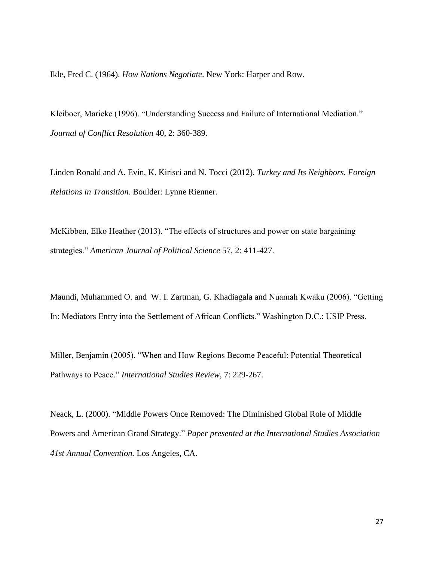Ikle, Fred C. (1964). *How Nations Negotiate*. New York: Harper and Row.

Kleiboer, Marieke (1996). "Understanding Success and Failure of International Mediation." *Journal of Conflict Resolution* 40, 2: 360-389.

Linden Ronald and A. Evin, K. Kirisci and N. Tocci (2012). *Turkey and Its Neighbors. Foreign Relations in Transition*. Boulder: Lynne Rienner.

McKibben, Elko Heather (2013). "The effects of structures and power on state bargaining strategies." *American Journal of Political Science* 57, 2: 411-427.

Maundi, Muhammed O. and W. I. Zartman, G. Khadiagala and Nuamah Kwaku (2006). "Getting In: Mediators Entry into the Settlement of African Conflicts." Washington D.C.: USIP Press.

Miller, Benjamin (2005). "When and How Regions Become Peaceful: Potential Theoretical Pathways to Peace." *International Studies Review*, 7: 229-267.

Neack, L. (2000). ["Middle Powers Once Removed: The Diminished Global Role of Middle](http://www.ciaonet.org/isa/nal01/)  [Powers and American Grand Strategy.](http://www.ciaonet.org/isa/nal01/)" *Paper presented at the International Studies Association 41st Annual Convention.* Los Angeles, CA.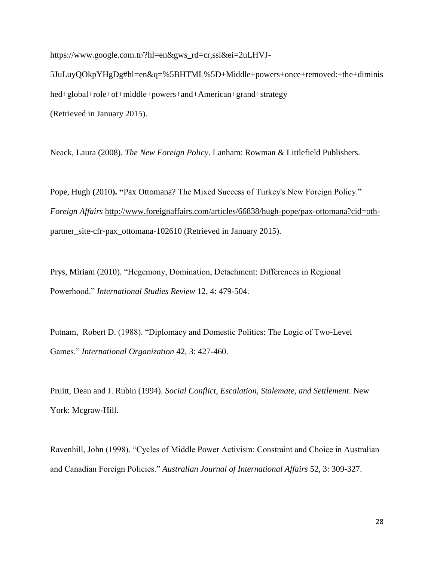[https://www.google.com.tr/?hl=en&gws\\_rd=cr,ssl&ei=2uLHVJ-](https://www.google.com.tr/?hl=en&gws_rd=cr,ssl&ei=2uLHVJ-5JuLuyQOkpYHgDg#hl=en&q=%5BHTML%5D+Middle+powers+once+removed:+the+diminished+global+role+of+middle+powers+and+American+grand+strategy)[5JuLuyQOkpYHgDg#hl=en&q=%5BHTML%5D+Middle+powers+once+removed:+the+diminis](https://www.google.com.tr/?hl=en&gws_rd=cr,ssl&ei=2uLHVJ-5JuLuyQOkpYHgDg#hl=en&q=%5BHTML%5D+Middle+powers+once+removed:+the+diminished+global+role+of+middle+powers+and+American+grand+strategy) [hed+global+role+of+middle+powers+and+American+grand+strategy](https://www.google.com.tr/?hl=en&gws_rd=cr,ssl&ei=2uLHVJ-5JuLuyQOkpYHgDg#hl=en&q=%5BHTML%5D+Middle+powers+once+removed:+the+diminished+global+role+of+middle+powers+and+American+grand+strategy) (Retrieved in January 2015).

Neack, Laura (2008). *The New Foreign Policy*. Lanham: Rowman & Littlefield Publishers.

Pope, Hugh **(**2010**). "**Pax Ottomana? The Mixed Success of Turkey's New Foreign Policy." *Foreign Affairs* [http://www.foreignaffairs.com/articles/66838/hugh-pope/pax-ottomana?cid=oth](http://www.foreignaffairs.com/articles/66838/hugh-pope/pax-ottomana?cid=oth-partner_site-cfr-pax_ottomana-102610)[partner\\_site-cfr-pax\\_ottomana-102610](http://www.foreignaffairs.com/articles/66838/hugh-pope/pax-ottomana?cid=oth-partner_site-cfr-pax_ottomana-102610) (Retrieved in January 2015).

Prys, Miriam (2010). "Hegemony, Domination, Detachment: Differences in Regional Powerhood." *International Studies Review* 12, 4: 479-504.

Putnam, Robert D. (1988). "Diplomacy and Domestic Politics: The Logic of Two-Level Games." *International Organization* 42, 3: 427-460.

Pruitt, Dean and J. Rubin (1994). *Social Conflict, Escalation, Stalemate, and Settlement*. New York: Mcgraw-Hill.

Ravenhill, John (1998). "Cycles of Middle Power Activism: Constraint and Choice in Australian and Canadian Foreign Policies." *Australian Journal of International Affairs* 52, 3: 309-327.